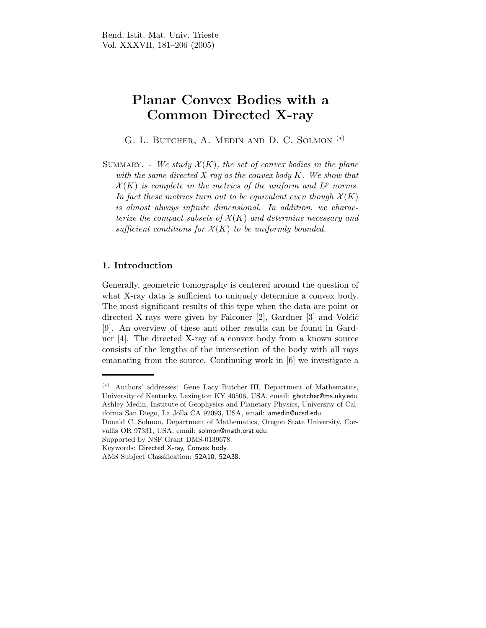# Planar Convex Bodies with a Common Directed X-ray

G. L. BUTCHER, A. MEDIN AND D. C. SOLMON<sup>(\*)</sup>

SUMMARY. - We study  $\mathcal{X}(K)$ , the set of convex bodies in the plane with the same directed X-ray as the convex body  $K$ . We show that  $\mathcal{X}(K)$  is complete in the metrics of the uniform and  $L^p$  norms. In fact these metrics turn out to be equivalent even though  $\mathcal{X}(K)$ is almost always infinite dimensional. In addition, we characterize the compact subsets of  $\mathcal{X}(K)$  and determine necessary and sufficient conditions for  $\mathcal{X}(K)$  to be uniformly bounded.

## 1. Introduction

Generally, geometric tomography is centered around the question of what X-ray data is sufficient to uniquely determine a convex body. The most significant results of this type when the data are point or directed X-rays were given by Falconer  $[2]$ , Gardner  $[3]$  and Volčič [9]. An overview of these and other results can be found in Gardner [4]. The directed X-ray of a convex body from a known source consists of the lengths of the intersection of the body with all rays emanating from the source. Continuing work in [6] we investigate a

<sup>(</sup>∗) Authors' addresses: Gene Lacy Butcher III, Department of Mathematics, University of Kentucky, Lexington KY 40506, USA, email: gbutcher@ms.uky.edu Ashley Medin, Institute of Geophysics and Planetary Physics, University of California San Diego, La Jolla CA 92093, USA, email: amedin@ucsd.edu

Donald C. Solmon, Department of Mathematics, Oregon State University, Corvallis OR 97331, USA, email: solmon@math.orst.edu.

Supported by NSF Grant DMS-0139678.

Keywords: Directed X-ray, Convex body.

AMS Subject Classification: 52A10, 52A38.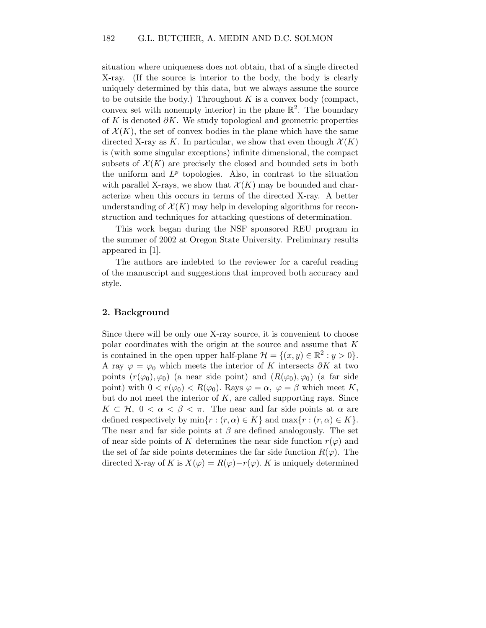situation where uniqueness does not obtain, that of a single directed X-ray. (If the source is interior to the body, the body is clearly uniquely determined by this data, but we always assume the source to be outside the body.) Throughout  $K$  is a convex body (compact, convex set with nonempty interior) in the plane  $\mathbb{R}^2$ . The boundary of K is denoted  $\partial K$ . We study topological and geometric properties of  $\mathcal{X}(K)$ , the set of convex bodies in the plane which have the same directed X-ray as K. In particular, we show that even though  $\mathcal{X}(K)$ is (with some singular exceptions) infinite dimensional, the compact subsets of  $\mathcal{X}(K)$  are precisely the closed and bounded sets in both the uniform and  $L^p$  topologies. Also, in contrast to the situation with parallel X-rays, we show that  $\mathcal{X}(K)$  may be bounded and characterize when this occurs in terms of the directed X-ray. A better understanding of  $\mathcal{X}(K)$  may help in developing algorithms for reconstruction and techniques for attacking questions of determination.

This work began during the NSF sponsored REU program in the summer of 2002 at Oregon State University. Preliminary results appeared in [1].

The authors are indebted to the reviewer for a careful reading of the manuscript and suggestions that improved both accuracy and style.

### 2. Background

Since there will be only one X-ray source, it is convenient to choose polar coordinates with the origin at the source and assume that K is contained in the open upper half-plane  $\mathcal{H} = \{(x, y) \in \mathbb{R}^2 : y > 0\}.$ A ray  $\varphi = \varphi_0$  which meets the interior of K intersects  $\partial K$  at two points  $(r(\varphi_0),\varphi_0)$  (a near side point) and  $(R(\varphi_0),\varphi_0)$  (a far side point) with  $0 < r(\varphi_0) < R(\varphi_0)$ . Rays  $\varphi = \alpha$ ,  $\varphi = \beta$  which meet K, but do not meet the interior of  $K$ , are called supporting rays. Since  $K \subset \mathcal{H}, 0 < \alpha < \beta < \pi$ . The near and far side points at  $\alpha$  are defined respectively by  $\min\{r : (r, \alpha) \in K\}$  and  $\max\{r : (r, \alpha) \in K\}.$ The near and far side points at  $\beta$  are defined analogously. The set of near side points of K determines the near side function  $r(\varphi)$  and the set of far side points determines the far side function  $R(\varphi)$ . The directed X-ray of K is  $X(\varphi) = R(\varphi) - r(\varphi)$ . K is uniquely determined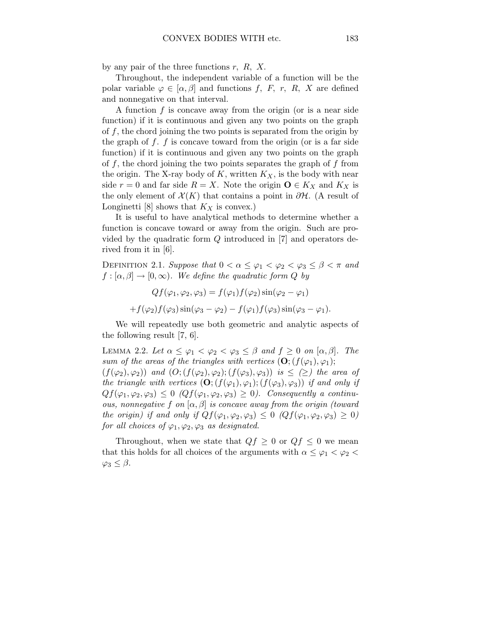by any pair of the three functions  $r$ ,  $R$ ,  $X$ .

Throughout, the independent variable of a function will be the polar variable  $\varphi \in [\alpha, \beta]$  and functions f, F, r, R, X are defined and nonnegative on that interval.

A function  $f$  is concave away from the origin (or is a near side function) if it is continuous and given any two points on the graph of  $f$ , the chord joining the two points is separated from the origin by the graph of  $f$ .  $f$  is concave toward from the origin (or is a far side function) if it is continuous and given any two points on the graph of  $f$ , the chord joining the two points separates the graph of  $f$  from the origin. The X-ray body of K, written  $K_X$ , is the body with near side  $r = 0$  and far side  $R = X$ . Note the origin  $\mathbf{O} \in K_X$  and  $K_X$  is the only element of  $\mathcal{X}(K)$  that contains a point in  $\partial \mathcal{H}$ . (A result of Longinetti [8] shows that  $K_X$  is convex.)

It is useful to have analytical methods to determine whether a function is concave toward or away from the origin. Such are provided by the quadratic form Q introduced in [7] and operators derived from it in [6].

DEFINITION 2.1. Suppose that  $0 < \alpha \leq \varphi_1 < \varphi_2 < \varphi_3 \leq \beta < \pi$  and  $f : [\alpha, \beta] \to [0, \infty)$ . We define the quadratic form Q by

$$
Qf(\varphi_1, \varphi_2, \varphi_3) = f(\varphi_1)f(\varphi_2)\sin(\varphi_2 - \varphi_1)
$$
  
+
$$
f(\varphi_2)f(\varphi_3)\sin(\varphi_3 - \varphi_2) - f(\varphi_1)f(\varphi_3)\sin(\varphi_3 - \varphi_1).
$$

We will repeatedly use both geometric and analytic aspects of the following result [7, 6].

LEMMA 2.2. Let  $\alpha \leq \varphi_1 < \varphi_2 < \varphi_3 \leq \beta$  and  $f \geq 0$  on  $[\alpha, \beta]$ . The sum of the areas of the triangles with vertices  $(O; (f(\varphi_1), \varphi_1);$  $(f(\varphi_2),\varphi_2))$  and  $(O; (f(\varphi_2),\varphi_2); (f(\varphi_3),\varphi_3))$  is  $\leq (\geq)$  the area of the triangle with vertices  $(O; (f(\varphi_1), \varphi_1); (f(\varphi_3), \varphi_3))$  if and only if  $Qf(\varphi_1,\varphi_2,\varphi_3) \leq 0$  ( $Qf(\varphi_1,\varphi_2,\varphi_3) \geq 0$ ). Consequently a continuous, nonnegative f on  $[\alpha, \beta]$  is concave away from the origin (toward the origin) if and only if  $Qf(\varphi_1,\varphi_2,\varphi_3) \leq 0$   $(Qf(\varphi_1,\varphi_2,\varphi_3) \geq 0)$ for all choices of  $\varphi_1, \varphi_2, \varphi_3$  as designated.

Throughout, when we state that  $Qf \geq 0$  or  $Qf \leq 0$  we mean that this holds for all choices of the arguments with  $\alpha \leq \varphi_1 < \varphi_2$  $\varphi_3 \leq \beta$ .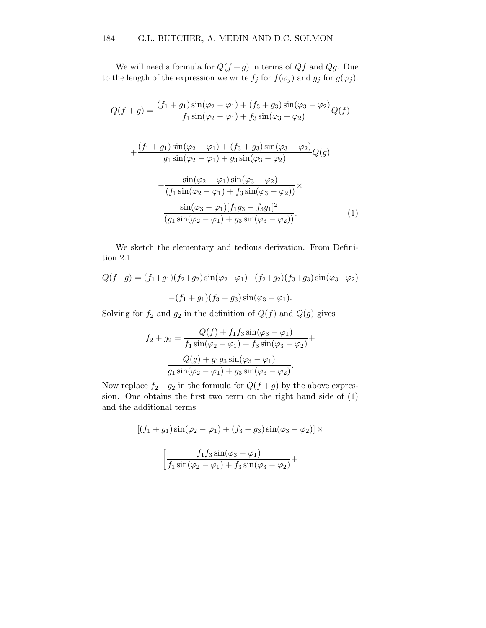We will need a formula for  $Q(f+g)$  in terms of  $Qf$  and  $Qg$ . Due to the length of the expression we write  $f_j$  for  $f(\varphi_j)$  and  $g_j$  for  $g(\varphi_j)$ .

$$
Q(f+g) = \frac{(f_1+g_1)\sin(\varphi_2-\varphi_1)+(f_3+g_3)\sin(\varphi_3-\varphi_2)}{f_1\sin(\varphi_2-\varphi_1)+f_3\sin(\varphi_3-\varphi_2)}Q(f)
$$
  
+
$$
\frac{(f_1+g_1)\sin(\varphi_2-\varphi_1)+(f_3+g_3)\sin(\varphi_3-\varphi_2)}{g_1\sin(\varphi_2-\varphi_1)+g_3\sin(\varphi_3-\varphi_2)}Q(g)
$$
  
-
$$
\frac{\sin(\varphi_2-\varphi_1)\sin(\varphi_3-\varphi_2)}{(f_1\sin(\varphi_2-\varphi_1)+f_3\sin(\varphi_3-\varphi_2))}\times \frac{\sin(\varphi_3-\varphi_1)[f_1g_3-f_3g_1]^2}{(g_1\sin(\varphi_2-\varphi_1)+g_3\sin(\varphi_3-\varphi_2))}.
$$
 (1)

We sketch the elementary and tedious derivation. From Definition 2.1

$$
Q(f+g) = (f_1+g_1)(f_2+g_2)\sin(\varphi_2-\varphi_1) + (f_2+g_2)(f_3+g_3)\sin(\varphi_3-\varphi_2)
$$

$$
-(f_1+g_1)(f_3+g_3)\sin(\varphi_3-\varphi_1).
$$

Solving for  $f_2$  and  $g_2$  in the definition of  $Q(f)$  and  $Q(g)$  gives

$$
f_2 + g_2 = \frac{Q(f) + f_1 f_3 \sin(\varphi_3 - \varphi_1)}{f_1 \sin(\varphi_2 - \varphi_1) + f_3 \sin(\varphi_3 - \varphi_2)} +
$$

$$
\frac{Q(g) + g_1 g_3 \sin(\varphi_3 - \varphi_1)}{g_1 \sin(\varphi_2 - \varphi_1) + g_3 \sin(\varphi_3 - \varphi_2)}.
$$

Now replace  $f_2 + g_2$  in the formula for  $Q(f + g)$  by the above expression. One obtains the first two term on the right hand side of (1) and the additional terms

$$
[(f_1 + g_1)\sin(\varphi_2 - \varphi_1) + (f_3 + g_3)\sin(\varphi_3 - \varphi_2)] \times
$$

$$
\left[\frac{f_1 f_3 \sin(\varphi_3 - \varphi_1)}{f_1 \sin(\varphi_2 - \varphi_1) + f_3 \sin(\varphi_3 - \varphi_2)} + \right]
$$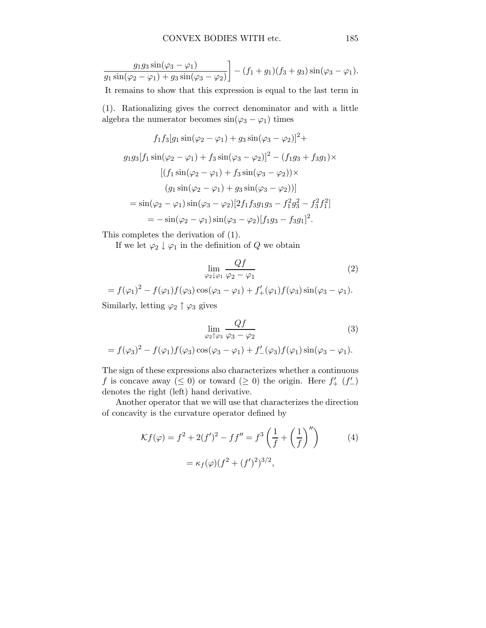$$
\frac{g_1 g_3 \sin(\varphi_3 - \varphi_1)}{g_1 \sin(\varphi_2 - \varphi_1) + g_3 \sin(\varphi_3 - \varphi_2)} - (f_1 + g_1)(f_3 + g_3) \sin(\varphi_3 - \varphi_1).
$$

It remains to show that this expression is equal to the last term in

(1). Rationalizing gives the correct denominator and with a little algebra the numerator becomes  $sin(\varphi_3 - \varphi_1)$  times

$$
f_1 f_3 [g_1 \sin(\varphi_2 - \varphi_1) + g_3 \sin(\varphi_3 - \varphi_2)]^2 +
$$
  
\n
$$
g_1 g_3 [f_1 \sin(\varphi_2 - \varphi_1) + f_3 \sin(\varphi_3 - \varphi_2)]^2 - (f_1 g_3 + f_3 g_1) \times
$$
  
\n
$$
[(f_1 \sin(\varphi_2 - \varphi_1) + f_3 \sin(\varphi_3 - \varphi_2)) \times
$$
  
\n
$$
(g_1 \sin(\varphi_2 - \varphi_1) + g_3 \sin(\varphi_3 - \varphi_2))]
$$
  
\n
$$
= \sin(\varphi_2 - \varphi_1) \sin(\varphi_3 - \varphi_2) [2f_1 f_3 g_1 g_3 - f_1^2 g_3^2 - f_3^2 f_1^2]
$$
  
\n
$$
= -\sin(\varphi_2 - \varphi_1) \sin(\varphi_3 - \varphi_2) [f_1 g_3 - f_3 g_1]^2.
$$

This completes the derivation of (1).

If we let  $\varphi_2 \downarrow \varphi_1$  in the definition of Q we obtain

$$
\lim_{\varphi_2 \downarrow \varphi_1} \frac{Qf}{\varphi_2 - \varphi_1} \tag{2}
$$

$$
= f(\varphi_1)^2 - f(\varphi_1)f(\varphi_3)\cos(\varphi_3 - \varphi_1) + f'_+(\varphi_1)f(\varphi_3)\sin(\varphi_3 - \varphi_1).
$$

Similarly, letting  $\varphi_2 \uparrow \varphi_3$  gives

$$
\lim_{\varphi_2 \uparrow \varphi_3} \frac{Qf}{\varphi_3 - \varphi_2} \tag{3}
$$

$$
= f(\varphi_3)^2 - f(\varphi_1)f(\varphi_3)\cos(\varphi_3 - \varphi_1) + f'(\varphi_3)f(\varphi_1)\sin(\varphi_3 - \varphi_1).
$$

The sign of these expressions also characterizes whether a continuous f is concave away ( $\leq 0$ ) or toward ( $\geq 0$ ) the origin. Here  $f'_{+}(f'_{-})$ denotes the right (left) hand derivative.

Another operator that we will use that characterizes the direction of concavity is the curvature operator defined by

$$
\mathcal{K}f(\varphi) = f^2 + 2(f')^2 - ff'' = f^3 \left(\frac{1}{f} + \left(\frac{1}{f}\right)''\right) \tag{4}
$$

$$
= \kappa_f(\varphi)(f^2 + (f')^2)^{3/2},
$$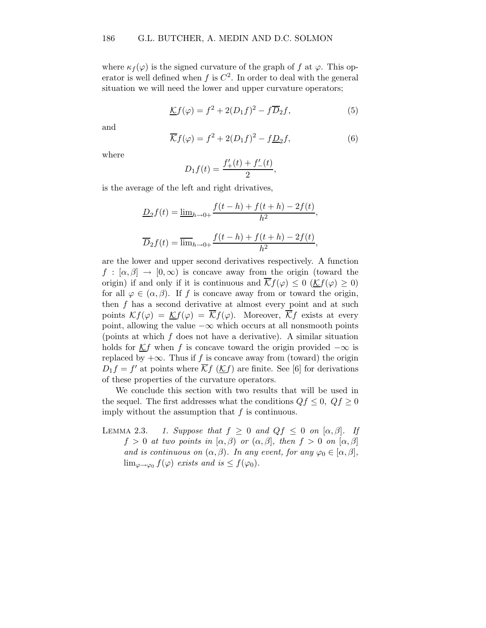where  $\kappa_f(\varphi)$  is the signed curvature of the graph of f at  $\varphi$ . This operator is well defined when  $f$  is  $C^2$ . In order to deal with the general situation we will need the lower and upper curvature operators;

$$
\underline{\mathcal{K}}f(\varphi) = f^2 + 2(D_1f)^2 - f\overline{D}_2f,\tag{5}
$$

and

$$
\overline{\mathcal{K}}f(\varphi) = f^2 + 2(D_1f)^2 - f\underline{D}_2f,\tag{6}
$$

where

$$
D_1 f(t) = \frac{f'_+(t) + f'_-(t)}{2},
$$

is the average of the left and right drivatives,

$$
\underline{D}_2 f(t) = \underline{\lim}_{h \to 0+} \frac{f(t-h) + f(t+h) - 2f(t)}{h^2},
$$
  

$$
\overline{D}_2 f(t) = \overline{\lim}_{h \to 0+} \frac{f(t-h) + f(t+h) - 2f(t)}{h^2},
$$

are the lower and upper second derivatives respectively. A function  $f : [\alpha, \beta] \to [0, \infty)$  is concave away from the origin (toward the origin) if and only if it is continuous and  $\overline{\mathcal{K}}f(\varphi) \leq 0$  ( $\mathcal{K}f(\varphi) \geq 0$ ) for all  $\varphi \in (\alpha, \beta)$ . If f is concave away from or toward the origin, then  $f$  has a second derivative at almost every point and at such points  $\mathcal{K}f(\varphi) = \mathcal{K}f(\varphi) = \overline{\mathcal{K}}f(\varphi)$ . Moreover,  $\overline{\mathcal{K}}f$  exists at every point, allowing the value  $-\infty$  which occurs at all nonsmooth points (points at which f does not have a derivative). A similar situation holds for  $Kf$  when f is concave toward the origin provided  $-\infty$  is replaced by  $+\infty$ . Thus if f is concave away from (toward) the origin  $D_1 f = f'$  at points where  $\overline{\mathcal{K}} f$  ( $\underline{\mathcal{K}} f$ ) are finite. See [6] for derivations of these properties of the curvature operators.

We conclude this section with two results that will be used in the sequel. The first addresses what the conditions  $Qf \leq 0$ ,  $Qf \geq 0$ imply without the assumption that  $f$  is continuous.

LEMMA 2.3. 1. Suppose that  $f \geq 0$  and  $Qf \leq 0$  on  $[\alpha, \beta]$ . If  $f > 0$  at two points in  $[\alpha, \beta)$  or  $(\alpha, \beta]$ , then  $f > 0$  on  $[\alpha, \beta]$ and is continuous on  $(\alpha, \beta)$ . In any event, for any  $\varphi_0 \in [\alpha, \beta]$ ,  $\lim_{\varphi \to \varphi_0} f(\varphi)$  exists and is  $\leq f(\varphi_0)$ .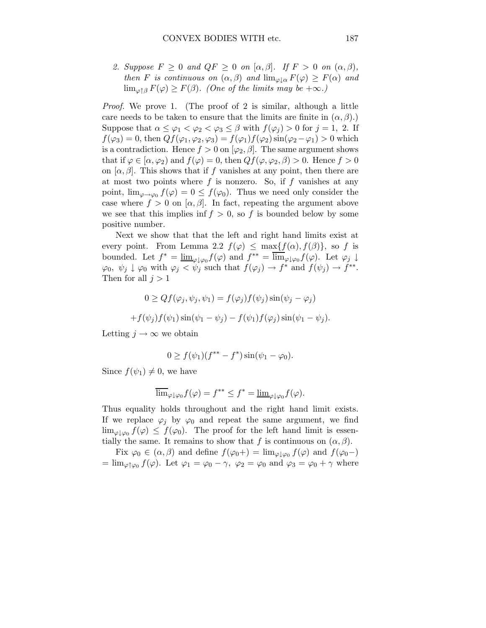2. Suppose  $F \geq 0$  and  $QF \geq 0$  on  $[\alpha, \beta]$ . If  $F > 0$  on  $(\alpha, \beta)$ , then F is continuous on  $(\alpha, \beta)$  and  $\lim_{\varphi \downarrow \alpha} F(\varphi) \geq F(\alpha)$  and  $\lim_{\varphi \uparrow \beta} F(\varphi) \geq F(\beta)$ . (One of the limits may be  $+\infty$ .)

Proof. We prove 1. (The proof of 2 is similar, although a little care needs to be taken to ensure that the limits are finite in  $(\alpha, \beta)$ .) Suppose that  $\alpha \leq \varphi_1 < \varphi_2 < \varphi_3 \leq \beta$  with  $f(\varphi_i) > 0$  for  $j = 1, 2$ . If  $f(\varphi_3) = 0$ , then  $Qf(\varphi_1, \varphi_2, \varphi_3) = f(\varphi_1)f(\varphi_2) \sin(\varphi_2 - \varphi_1) > 0$  which is a contradiction. Hence  $f > 0$  on  $[\varphi_2, \beta]$ . The same argument shows that if  $\varphi \in [\alpha, \varphi_2]$  and  $f(\varphi) = 0$ , then  $Qf(\varphi, \varphi_2, \beta) > 0$ . Hence  $f > 0$ on  $[\alpha, \beta]$ . This shows that if f vanishes at any point, then there are at most two points where  $f$  is nonzero. So, if  $f$  vanishes at any point,  $\lim_{\varphi \to \varphi_0} f(\varphi) = 0 \le f(\varphi_0)$ . Thus we need only consider the case where  $f > 0$  on  $[\alpha, \beta]$ . In fact, repeating the argument above we see that this implies inf  $f > 0$ , so f is bounded below by some positive number.

Next we show that that the left and right hand limits exist at every point. From Lemma 2.2  $f(\varphi) \leq \max\{f(\alpha), f(\beta)\}\)$ , so f is bounded. Let  $f^* = \underline{\lim}_{\varphi \downarrow \varphi_0} f(\varphi)$  and  $f^{**} = \overline{\lim}_{\varphi \downarrow \varphi_0} f(\varphi)$ . Let  $\varphi_j \downarrow$  $\varphi_0, \psi_j \downarrow \varphi_0$  with  $\varphi_j < \psi_j$  such that  $f(\varphi_j) \to f^*$  and  $f(\psi_j) \to f^{**}$ . Then for all  $j > 1$ 

$$
0 \ge Qf(\varphi_j, \psi_j, \psi_1) = f(\varphi_j)f(\psi_j)\sin(\psi_j - \varphi_j)
$$
  
+ 
$$
f(\psi_j)f(\psi_1)\sin(\psi_1 - \psi_j) - f(\psi_1)f(\varphi_j)\sin(\psi_1 - \psi_j).
$$

Letting  $j \to \infty$  we obtain

$$
0 \ge f(\psi_1)(f^{**} - f^*) \sin(\psi_1 - \varphi_0).
$$

Since  $f(\psi_1) \neq 0$ , we have

$$
\overline{\lim}_{\varphi\downarrow\varphi_0} f(\varphi) = f^{**} \le f^* = \underline{\lim}_{\varphi\downarrow\varphi_0} f(\varphi).
$$

Thus equality holds throughout and the right hand limit exists. If we replace  $\varphi_j$  by  $\varphi_0$  and repeat the same argument, we find  $\lim_{\varphi\downarrow\varphi_0} f(\varphi) \leq f(\varphi_0)$ . The proof for the left hand limit is essentially the same. It remains to show that f is continuous on  $(\alpha, \beta)$ .

Fix  $\varphi_0 \in (\alpha, \beta)$  and define  $f(\varphi_0+) = \lim_{\varphi \downarrow \varphi_0} f(\varphi)$  and  $f(\varphi_0-)$  $=\lim_{\varphi\uparrow\varphi_0} f(\varphi)$ . Let  $\varphi_1 = \varphi_0 - \gamma$ ,  $\varphi_2 = \varphi_0$  and  $\varphi_3 = \varphi_0 + \gamma$  where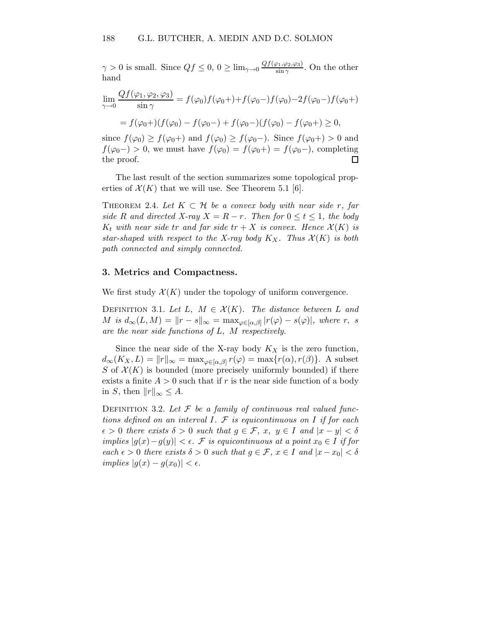$\gamma > 0$  is small. Since  $Qf \leq 0, 0 \geq \lim_{\gamma \to 0} \frac{Qf(\varphi_1, \varphi_2, \varphi_3)}{\sin \gamma}$  $\frac{\varphi_1,\varphi_2,\varphi_3)}{\sin\gamma}$ . On the other hand

$$
\lim_{\gamma \to 0} \frac{Qf(\varphi_1, \varphi_2, \varphi_3)}{\sin \gamma} = f(\varphi_0) f(\varphi_0+) + f(\varphi_0 -) f(\varphi_0) - 2f(\varphi_0 -) f(\varphi_0 +)
$$

$$
= f(\varphi_0) + f(\varphi_0) - f(\varphi_0 -) + f(\varphi_0 -) (f(\varphi_0) - f(\varphi_0 +) \ge 0,
$$

since  $f(\varphi_0) \geq f(\varphi_0+)$  and  $f(\varphi_0) \geq f(\varphi_0-)$ . Since  $f(\varphi_0+) > 0$  and  $f(\varphi_0-) > 0$ , we must have  $f(\varphi_0) = f(\varphi_0+) = f(\varphi_0-)$ , completing the proof.  $\Box$ 

The last result of the section summarizes some topological properties of  $\mathcal{X}(K)$  that we will use. See Theorem 5.1 [6].

THEOREM 2.4. Let  $K \subset \mathcal{H}$  be a convex body with near side r, far side R and directed X-ray  $X = R - r$ . Then for  $0 \le t \le 1$ , the body  $K_t$  with near side tr and far side  $tr + X$  is convex. Hence  $\mathcal{X}(K)$  is star-shaped with respect to the X-ray body  $K_X$ . Thus  $\mathcal{X}(K)$  is both path connected and simply connected.

#### 3. Metrics and Compactness.

We first study  $\mathcal{X}(K)$  under the topology of uniform convergence.

DEFINITION 3.1. Let L,  $M \in \mathcal{X}(K)$ . The distance between L and  $M$  is  $d_{\infty}(L, M) = ||r - s||_{\infty} = \max_{\varphi \in [\alpha, \beta]} |r(\varphi) - s(\varphi)|$ , where r, s are the near side functions of L, M respectively.

Since the near side of the X-ray body  $K_X$  is the zero function,  $d_{\infty}(K_X, L) = ||r||_{\infty} = \max_{\varphi \in [\alpha, \beta]} r(\varphi) = \max\{r(\alpha), r(\beta)\}.$  A subset S of  $\mathcal{X}(K)$  is bounded (more precisely uniformly bounded) if there exists a finite  $A > 0$  such that if r is the near side function of a body in S, then  $||r||_{\infty} \leq A$ .

DEFINITION 3.2. Let  $\mathcal F$  be a family of continuous real valued functions defined on an interval I.  $\mathcal F$  is equicontinuous on I if for each  $\epsilon > 0$  there exists  $\delta > 0$  such that  $g \in \mathcal{F}$ ,  $x, y \in I$  and  $|x - y| < \delta$ implies  $|g(x)-g(y)| < \epsilon$ . F is equicontinuous at a point  $x_0 \in I$  if for each  $\epsilon > 0$  there exists  $\delta > 0$  such that  $g \in \mathcal{F}$ ,  $x \in I$  and  $|x-x_0| < \delta$ implies  $|g(x) - g(x_0)| < \epsilon$ .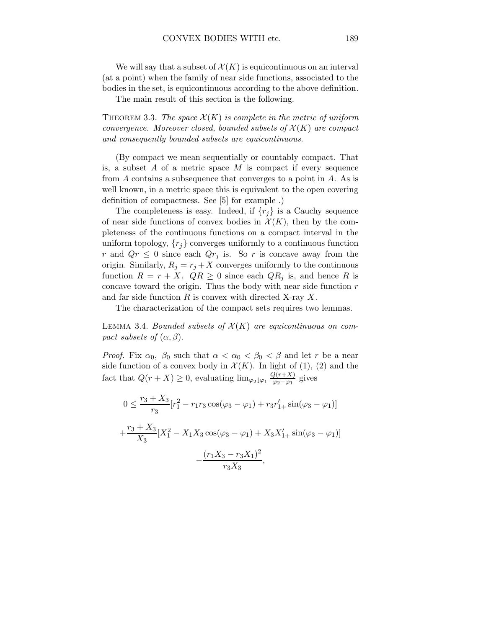We will say that a subset of  $\mathcal{X}(K)$  is equicontinuous on an interval (at a point) when the family of near side functions, associated to the bodies in the set, is equicontinuous according to the above definition.

The main result of this section is the following.

THEOREM 3.3. The space  $\mathcal{X}(K)$  is complete in the metric of uniform convergence. Moreover closed, bounded subsets of  $\mathcal{X}(K)$  are compact and consequently bounded subsets are equicontinuous.

(By compact we mean sequentially or countably compact. That is, a subset  $A$  of a metric space  $M$  is compact if every sequence from A contains a subsequence that converges to a point in A. As is well known, in a metric space this is equivalent to the open covering definition of compactness. See [5] for example .)

The completeness is easy. Indeed, if  $\{r_j\}$  is a Cauchy sequence of near side functions of convex bodies in  $\mathcal{X}(K)$ , then by the completeness of the continuous functions on a compact interval in the uniform topology,  $\{r_i\}$  converges uniformly to a continuous function r and  $Qr \leq 0$  since each  $Qr_j$  is. So r is concave away from the origin. Similarly,  $R_j = r_j + X$  converges uniformly to the continuous function  $R = r + X$ .  $QR \ge 0$  since each  $QR_j$  is, and hence R is concave toward the origin. Thus the body with near side function  $r$ and far side function  $R$  is convex with directed X-ray  $X$ .

The characterization of the compact sets requires two lemmas.

LEMMA 3.4. Bounded subsets of  $\mathcal{X}(K)$  are equicontinuous on compact subsets of  $(\alpha, \beta)$ .

*Proof.* Fix  $\alpha_0$ ,  $\beta_0$  such that  $\alpha < \alpha_0 < \beta_0 < \beta$  and let r be a near side function of a convex body in  $\mathcal{X}(K)$ . In light of (1), (2) and the fact that  $Q(r+X) \geq 0$ , evaluating  $\lim_{\varphi_2 \downarrow \varphi_1} \frac{Q(r+X)}{\varphi_2 - \varphi_1}$  $\frac{\sqrt{(r+\Lambda)}}{\varphi_2-\varphi_1}$  gives

$$
0 \le \frac{r_3 + X_3}{r_3} [r_1^2 - r_1 r_3 \cos(\varphi_3 - \varphi_1) + r_3 r_1' + \sin(\varphi_3 - \varphi_1)]
$$
  
+ 
$$
\frac{r_3 + X_3}{X_3} [X_1^2 - X_1 X_3 \cos(\varphi_3 - \varphi_1) + X_3 X_1' + \sin(\varphi_3 - \varphi_1)]
$$
  
- 
$$
\frac{(r_1 X_3 - r_3 X_1)^2}{r_3 X_3},
$$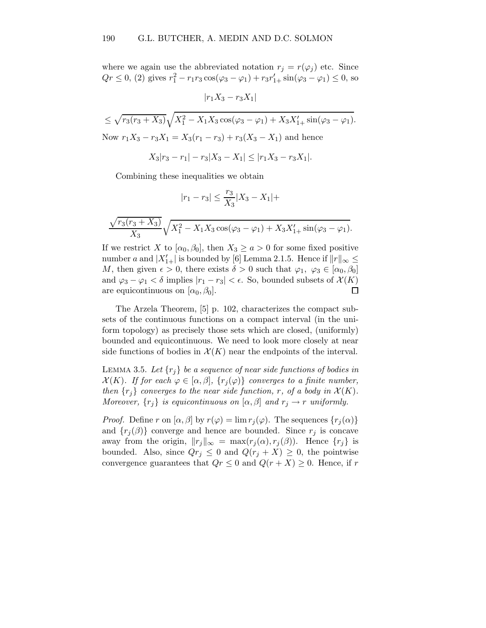where we again use the abbreviated notation  $r_j = r(\varphi_j)$  etc. Since  $Qr \le 0$ , (2) gives  $r_1^2 - r_1r_3 \cos(\varphi_3 - \varphi_1) + r_3r'_{1+} \sin(\varphi_3 - \varphi_1) \le 0$ , so

 $|r_1X_3 - r_3X_1|$ 

$$
\leq \sqrt{r_3(r_3 + X_3)} \sqrt{X_1^2 - X_1 X_3 \cos(\varphi_3 - \varphi_1) + X_3 X_{1+}' \sin(\varphi_3 - \varphi_1)}.
$$
  
Now  $r_1 X_3 - r_3 X_1 = X_3(r_1 - r_3) + r_3(X_3 - X_1)$  and hence  

$$
X_3|r_3 - r_1| - r_3|X_3 - X_1| \leq |r_1 X_3 - r_3 X_1|.
$$

Combining these inequalities we obtain

$$
|r_1-r_3|\le \frac{r_3}{X_3}|X_3-X_1|+
$$

$$
\frac{\sqrt{r_3(r_3 + X_3)}}{X_3} \sqrt{X_1^2 - X_1 X_3 \cos(\varphi_3 - \varphi_1) + X_3 X_{1+}' \sin(\varphi_3 - \varphi_1)}.
$$

If we restrict X to  $[\alpha_0, \beta_0]$ , then  $X_3 \ge a > 0$  for some fixed positive number a and  $|X'_{1+}|$  is bounded by [6] Lemma 2.1.5. Hence if  $||r||_{\infty} \le$ M, then given  $\epsilon > 0$ , there exists  $\delta > 0$  such that  $\varphi_1, \varphi_3 \in [\alpha_0, \beta_0]$ and  $\varphi_3 - \varphi_1 < \delta$  implies  $|r_1 - r_3| < \epsilon$ . So, bounded subsets of  $\mathcal{X}(K)$ are equicontinuous on  $[\alpha_0, \beta_0]$ .  $\Box$ 

The Arzela Theorem, [5] p. 102, characterizes the compact subsets of the continuous functions on a compact interval (in the uniform topology) as precisely those sets which are closed, (uniformly) bounded and equicontinuous. We need to look more closely at near side functions of bodies in  $\mathcal{X}(K)$  near the endpoints of the interval.

LEMMA 3.5. Let  $\{r_j\}$  be a sequence of near side functions of bodies in  $\mathcal{X}(K)$ . If for each  $\varphi \in [\alpha, \beta], \{r_j(\varphi)\}\)$  converges to a finite number, then  $\{r_j\}$  converges to the near side function, r, of a body in  $\mathcal{X}(K)$ . Moreover,  $\{r_j\}$  is equicontinuous on  $[\alpha, \beta]$  and  $r_j \rightarrow r$  uniformly.

*Proof.* Define r on  $[\alpha, \beta]$  by  $r(\varphi) = \lim r_i(\varphi)$ . The sequences  $\{r_i(\alpha)\}\$ and  ${r_j(\beta)}$  converge and hence are bounded. Since  $r_j$  is concave away from the origin,  $||r_j||_{\infty} = \max(r_j(\alpha), r_j(\beta))$ . Hence  $\{r_j\}$  is bounded. Also, since  $Qr_j \leq 0$  and  $Q(r_j + X) \geq 0$ , the pointwise convergence guarantees that  $Qr \leq 0$  and  $Q(r+X) \geq 0$ . Hence, if r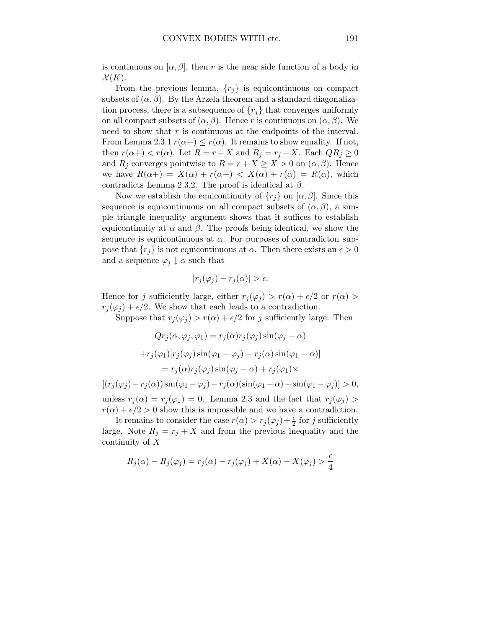is continuous on  $[\alpha, \beta]$ , then r is the near side function of a body in  $\mathcal{X}(K)$ .

From the previous lemma,  $\{r_i\}$  is equicontinuous on compact subsets of  $(\alpha, \beta)$ . By the Arzela theorem and a standard diagonalization process, there is a subsequence of  $\{r_i\}$  that converges uniformly on all compact subsets of  $(\alpha, \beta)$ . Hence r is continuous on  $(\alpha, \beta)$ . We need to show that  $r$  is continuous at the endpoints of the interval. From Lemma 2.3.1  $r(\alpha+) \leq r(\alpha)$ . It remains to show equality. If not, then  $r(\alpha+) < r(\alpha)$ . Let  $R = r + X$  and  $R_j = r_j + X$ . Each  $QR_j \geq 0$ and  $R_j$  converges pointwise to  $R = r + X \ge X > 0$  on  $(\alpha, \beta)$ . Hence we have  $R(\alpha +) = X(\alpha) + r(\alpha +) < X(\alpha) + r(\alpha) = R(\alpha)$ , which contradicts Lemma 2.3.2. The proof is identical at  $\beta$ .

Now we establish the equicontinuity of  $\{r_i\}$  on  $[\alpha, \beta]$ . Since this sequence is equicontinuous on all compact subsets of  $(\alpha, \beta)$ , a simple triangle inequality argument shows that it suffices to establish equicontinuity at  $\alpha$  and  $\beta$ . The proofs being identical, we show the sequence is equicontinuous at  $\alpha$ . For purposes of contradicton suppose that  $\{r_i\}$  is not equicontinuous at  $\alpha$ . Then there exists an  $\epsilon > 0$ and a sequence  $\varphi_j \downarrow \alpha$  such that

$$
|r_j(\varphi_j) - r_j(\alpha)| > \epsilon.
$$

Hence for j sufficiently large, either  $r_j(\varphi_j) > r(\alpha) + \epsilon/2$  or  $r(\alpha) >$  $r_i(\varphi_i) + \epsilon/2$ . We show that each leads to a contradiction.

Suppose that  $r_j(\varphi_j) > r(\alpha) + \epsilon/2$  for j sufficiently large. Then

$$
Qr_j(\alpha, \varphi_j, \varphi_1) = r_j(\alpha)r_j(\varphi_j)\sin(\varphi_j - \alpha)
$$

$$
+r_j(\varphi_1)[r_j(\varphi_j)\sin(\varphi_1 - \varphi_j) - r_j(\alpha)\sin(\varphi_1 - \alpha)]
$$

$$
= r_j(\alpha)r_j(\varphi_j)\sin(\varphi_j - \alpha) + r_j(\varphi_1)\times
$$

$$
[(r_j(\varphi_j) - r_j(\alpha))\sin(\varphi_1 - \varphi_j) - r_j(\alpha)(\sin(\varphi_1 - \alpha) - \sin(\varphi_1 - \varphi_j)] > 0,
$$

unless  $r_j(\alpha) = r_j(\varphi_1) = 0$ . Lemma 2.3 and the fact that  $r_j(\varphi_j)$  $r(\alpha) + \epsilon/2 > 0$  show this is impossible and we have a contradiction.

It remains to consider the case  $r(\alpha) > r_j(\varphi_j) + \frac{\epsilon}{2}$  for j sufficiently large. Note  $R_j = r_j + X$  and from the previous inequality and the continuity of X

$$
R_j(\alpha) - R_j(\varphi_j) = r_j(\alpha) - r_j(\varphi_j) + X(\alpha) - X(\varphi_j) > \frac{\epsilon}{4}
$$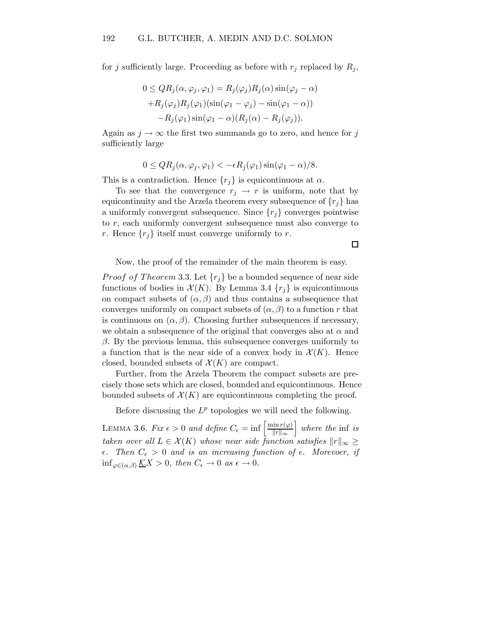for j sufficiently large. Proceeding as before with  $r_i$  replaced by  $R_i$ ,

$$
0 \le QR_j(\alpha, \varphi_j, \varphi_1) = R_j(\varphi_j)R_j(\alpha)\sin(\varphi_j - \alpha)
$$

$$
+ R_j(\varphi_j)R_j(\varphi_1)(\sin(\varphi_1 - \varphi_j) - \sin(\varphi_1 - \alpha))
$$

$$
- R_j(\varphi_1)\sin(\varphi_1 - \alpha)(R_j(\alpha) - R_j(\varphi_j)).
$$

Again as  $j \to \infty$  the first two summands go to zero, and hence for j sufficiently large

$$
0 \le QR_j(\alpha, \varphi_j, \varphi_1) < -\epsilon R_j(\varphi_1) \sin(\varphi_1 - \alpha)/8.
$$

This is a contradiction. Hence  $\{r_i\}$  is equicontinuous at  $\alpha$ .

To see that the convergence  $r_j \rightarrow r$  is uniform, note that by equicontinuity and the Arzela theorem every subsequence of  $\{r_i\}$  has a uniformly convergent subsequence. Since  $\{r_j\}$  converges pointwise to r, each uniformly convergent subsequence must also converge to r. Hence  $\{r_j\}$  itself must converge uniformly to r.

 $\Box$ 

Now, the proof of the remainder of the main theorem is easy.

*Proof of Theorem* 3.3. Let  $\{r_j\}$  be a bounded sequence of near side functions of bodies in  $\mathcal{X}(K)$ . By Lemma 3.4  $\{r_i\}$  is equicontinuous on compact subsets of  $(\alpha, \beta)$  and thus contains a subsequence that converges uniformly on compact subsets of  $(\alpha, \beta)$  to a function r that is continuous on  $(\alpha, \beta)$ . Choosing further subsequences if necessary, we obtain a subsequence of the original that converges also at  $\alpha$  and  $β$ . By the previous lemma, this subsequence converges uniformly to a function that is the near side of a convex body in  $\mathcal{X}(K)$ . Hence closed, bounded subsets of  $\mathcal{X}(K)$  are compact.

Further, from the Arzela Theorem the compact subsets are precisely those sets which are closed, bounded and equicontinuous. Hence bounded subsets of  $\mathcal{X}(K)$  are equicontinuous completing the proof.

Before discussing the  $L^p$  topologies we will need the following.

LEMMA 3.6. Fix  $\epsilon > 0$  and define  $C_{\epsilon} = \inf \left[ \frac{\min r(\varphi)}{\|r\|_{\infty}} \right]$  $\frac{\sin r(\varphi)}{\|r\|_{\infty}}$  where the inf is taken over all  $L \in \mathcal{X}(K)$  whose near side function satisfies  $||r||_{\infty} \ge$  $\epsilon$ . Then  $C_{\epsilon} > 0$  and is an increasing function of  $\epsilon$ . Morevoer, if  $\inf_{\varphi \in (\alpha,\beta)} \underline{\mathcal{K}}X > 0$ , then  $C_{\epsilon} \to 0$  as  $\epsilon \to 0$ .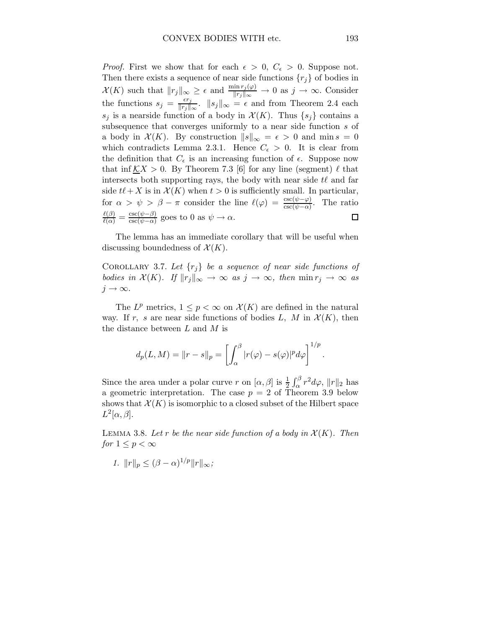*Proof.* First we show that for each  $\epsilon > 0$ ,  $C_{\epsilon} > 0$ . Suppose not. Then there exists a sequence of near side functions  $\{r_i\}$  of bodies in  $\mathcal{X}(K)$  such that  $||r_j||_{\infty} \geq \epsilon$  and  $\frac{\min r_j(\varphi)}{||r_j||_{\infty}} \to 0$  as  $j \to \infty$ . Consider the functions  $s_j = \frac{\epsilon r_j}{\|r_i\|}$  $\frac{e^{i}j}{\|r_j\|_{\infty}}$ .  $\|s_j\|_{\infty} = \epsilon$  and from Theorem 2.4 each  $s_j$  is a nearside function of a body in  $\mathcal{X}(K)$ . Thus  $\{s_j\}$  contains a subsequence that converges uniformly to a near side function  $s$  of a body in  $\mathcal{X}(K)$ . By construction  $||s||_{\infty} = \epsilon > 0$  and min  $s = 0$ which contradicts Lemma 2.3.1. Hence  $C_{\epsilon} > 0$ . It is clear from the definition that  $C_{\epsilon}$  is an increasing function of  $\epsilon$ . Suppose now that inf  $KX > 0$ . By Theorem 7.3 [6] for any line (segment)  $\ell$  that intersects both supporting rays, the body with near side  $t\ell$  and far side  $t\ell + X$  is in  $\mathcal{X}(K)$  when  $t > 0$  is sufficiently small. In particular, for  $\alpha > \psi > \beta - \pi$  consider the line  $\ell(\varphi) = \frac{\csc(\psi - \varphi)}{\csc(\psi - \alpha)}$ . The ratio  $\frac{\ell(\beta)}{\ell(\alpha)} = \frac{\csc(\psi-\beta)}{\csc(\psi-\alpha)}$  $\frac{\csc(\psi-\rho)}{\csc(\psi-\alpha)}$  goes to 0 as  $\psi \to \alpha$ .  $\Box$ 

The lemma has an immediate corollary that will be useful when discussing boundedness of  $\mathcal{X}(K)$ .

COROLLARY 3.7. Let  $\{r_i\}$  be a sequence of near side functions of bodies in  $\mathcal{X}(K)$ . If  $||r_j||_{\infty} \to \infty$  as  $j \to \infty$ , then  $\min r_j \to \infty$  as  $j \rightarrow \infty$ .

The  $L^p$  metrics,  $1 \leq p < \infty$  on  $\mathcal{X}(K)$  are defined in the natural way. If r, s are near side functions of bodies L, M in  $\mathcal{X}(K)$ , then the distance between  $L$  and  $M$  is

$$
d_p(L, M) = ||r - s||_p = \left[ \int_{\alpha}^{\beta} |r(\varphi) - s(\varphi)|^p d\varphi \right]^{1/p}.
$$

Since the area under a polar curve r on  $[\alpha, \beta]$  is  $\frac{1}{2} \int_{\alpha}^{\beta} r^2 d\varphi$ ,  $||r||_2$  has a geometric interpretation. The case  $p = 2$  of Theorem 3.9 below shows that  $\mathcal{X}(K)$  is isomorphic to a closed subset of the Hilbert space  $L^2[\alpha,\beta].$ 

LEMMA 3.8. Let r be the near side function of a body in  $\mathcal{X}(K)$ . Then for  $1 \leq p < \infty$ 

1.  $||r||_p \leq (\beta - \alpha)^{1/p} ||r||_{\infty};$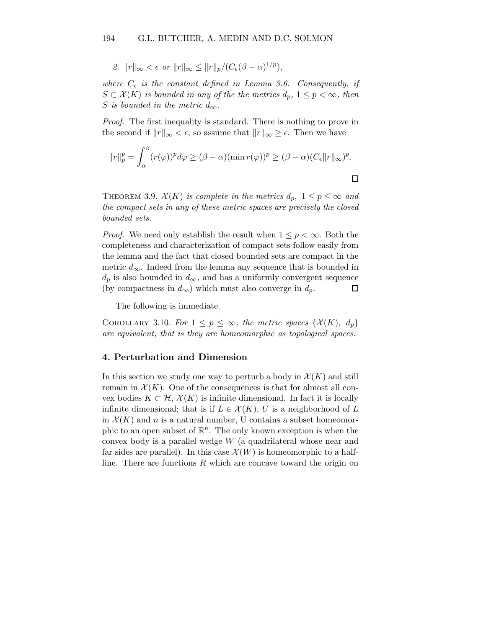2. 
$$
||r||_{\infty} < \epsilon
$$
 or  $||r||_{\infty} \leq ||r||_{p}/(C_{\epsilon}(\beta - \alpha)^{1/p}),$ 

where  $C_{\epsilon}$  is the constant defined in Lemma 3.6. Consequently, if  $S \subset \mathcal{X}(K)$  is bounded in any of the the metrics  $d_p$ ,  $1 \leq p < \infty$ , then S is bounded in the metric  $d_{\infty}$ .

Proof. The first inequality is standard. There is nothing to prove in the second if  $||r||_{\infty} < \epsilon$ , so assume that  $||r||_{\infty} \geq \epsilon$ . Then we have

$$
||r||_p^p = \int_{\alpha}^{\beta} (r(\varphi))^p d\varphi \geq (\beta - \alpha) (\min r(\varphi))^p \geq (\beta - \alpha) (C_{\epsilon} ||r||_{\infty})^p.
$$

THEOREM 3.9.  $\mathcal{X}(K)$  is complete in the metrics  $d_p$ ,  $1 \leq p \leq \infty$  and the compact sets in any of these metric spaces are precisely the closed bounded sets.

*Proof.* We need only establish the result when  $1 \leq p \leq \infty$ . Both the completeness and characterization of compact sets follow easily from the lemma and the fact that closed bounded sets are compact in the metric  $d_{\infty}$ . Indeed from the lemma any sequence that is bounded in  $d_p$  is also bounded in  $d_{\infty}$ , and has a uniformly convergent sequence (by compactness in  $d_{\infty}$ ) which must also converge in  $d_p$ .  $\Box$ 

The following is immediate.

COROLLARY 3.10. For  $1 \leq p \leq \infty$ , the metric spaces  $\{\mathcal{X}(K), d_p\}$ are equivalent, that is they are homeomorphic as topological spaces.

#### 4. Perturbation and Dimension

In this section we study one way to perturb a body in  $\mathcal{X}(K)$  and still remain in  $\mathcal{X}(K)$ . One of the consequences is that for almost all convex bodies  $K \subset \mathcal{H}, \mathcal{X}(K)$  is infinite dimensional. In fact it is locally infinite dimensional; that is if  $L \in \mathcal{X}(K)$ , U is a neighborhood of L in  $\mathcal{X}(K)$  and n is a natural number, U contains a subset homeomorphic to an open subset of  $\mathbb{R}^n$ . The only known exception is when the convex body is a parallel wedge W (a quadrilateral whose near and far sides are parallel). In this case  $\mathcal{X}(W)$  is homeomorphic to a halfline. There are functions  $R$  which are concave toward the origin on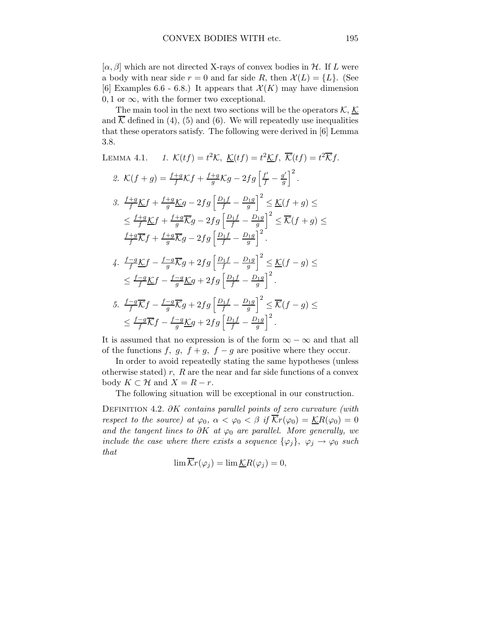$[\alpha, \beta]$  which are not directed X-rays of convex bodies in H. If L were a body with near side  $r = 0$  and far side R, then  $\mathcal{X}(L) = \{L\}$ . (See [6] Examples 6.6 - 6.8.) It appears that  $\mathcal{X}(K)$  may have dimension  $0, 1$  or  $\infty$ , with the former two exceptional.

The main tool in the next two sections will be the operators  $K, K$ and  $\overline{\mathcal{K}}$  defined in (4), (5) and (6). We will repeatedly use inequalities that these operators satisfy. The following were derived in [6] Lemma 3.8.

LEMMA 4.1. 
$$
1. \quad K(tf) = t^2 K, \quad \underline{K}(tf) = t^2 \underline{K}f, \quad \overline{K}(tf) = t^2 \overline{K}f.
$$
  
\n2. 
$$
K(f+g) = \frac{f+g}{f} Kf + \frac{f+g}{g} Kg - 2fg \left[ \frac{f'}{f} - \frac{g'}{g} \right]^2.
$$
  
\n3. 
$$
\frac{f+g}{f} \underline{K}f + \frac{f+g}{g} \underline{K}g - 2fg \left[ \frac{D_1f}{f} - \frac{D_1g}{g} \right]^2 \leq \underline{K}(f+g) \leq
$$
  
\n
$$
\leq \frac{f+g}{f} \underline{K}f + \frac{f+g}{g} \overline{K}g - 2fg \left[ \frac{D_1f}{f} - \frac{D_1g}{g} \right]^2 \leq \overline{K}(f+g) \leq
$$
  
\n
$$
\frac{f+g}{f} \overline{K}f + \frac{f+g}{g} \overline{K}g - 2fg \left[ \frac{D_1f}{f} - \frac{D_1g}{g} \right]^2.
$$
  
\n4. 
$$
\frac{f-g}{f} \underline{K}f - \frac{f-g}{g} \overline{K}g + 2fg \left[ \frac{D_1f}{f} - \frac{D_1g}{g} \right]^2 \leq \underline{K}(f-g) \leq
$$
  
\n
$$
\leq \frac{f-g}{f} \underline{K}f - \frac{f-g}{g} \underline{K}g + 2fg \left[ \frac{D_1f}{f} - \frac{D_1g}{g} \right]^2 \leq \overline{K}(f-g) \leq
$$
  
\n5. 
$$
\frac{f-g}{f} \overline{K}f - \frac{f-g}{g} \overline{K}g + 2fg \left[ \frac{D_1f}{f} - \frac{D_1g}{g} \right]^2 \leq \overline{K}(f-g) \leq
$$
  
\n
$$
\leq \frac{f-g}{f} \overline{K}f - \frac{f-g}{g} \underline{K}g + 2fg \left[ \frac{D_1f}{f} - \frac{D_1g}{g} \right]^2.
$$

It is assumed that no expression is of the form  $\infty - \infty$  and that all of the functions f, g,  $f + g$ ,  $f - g$  are positive where they occur.

In order to avoid repeatedly stating the same hypotheses (unless otherwise stated)  $r$ ,  $R$  are the near and far side functions of a convex body  $K \subset \mathcal{H}$  and  $X = R - r$ .

The following situation will be exceptional in our construction.

DEFINITION 4.2.  $\partial K$  contains parallel points of zero curvature (with respect to the source) at  $\varphi_0$ ,  $\alpha < \varphi_0 < \beta$  if  $\overline{\mathcal{K}}r(\varphi_0) = \underline{\mathcal{K}}R(\varphi_0) = 0$ and the tangent lines to  $\partial K$  at  $\varphi_0$  are parallel. More generally, we include the case where there exists a sequence  $\{\varphi_j\}, \varphi_j \to \varphi_0$  such that

$$
\lim \overline{\mathcal{K}}r(\varphi_j) = \lim \underline{\mathcal{K}}R(\varphi_j) = 0,
$$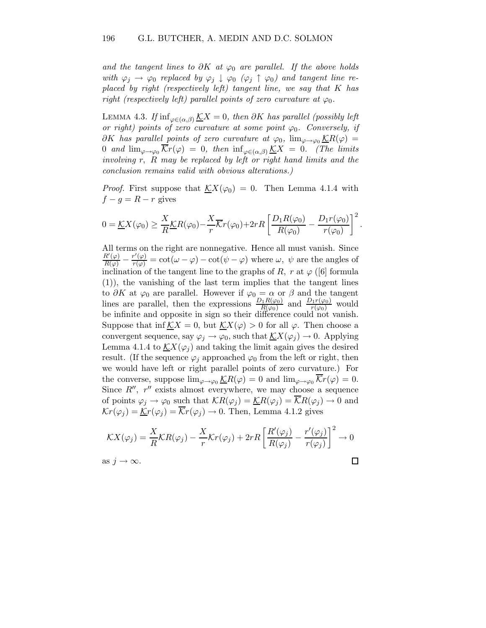and the tangent lines to  $\partial K$  at  $\varphi_0$  are parallel. If the above holds with  $\varphi_j \to \varphi_0$  replaced by  $\varphi_j \downarrow \varphi_0$  ( $\varphi_j \uparrow \varphi_0$ ) and tangent line replaced by right (respectively left) tangent line, we say that K has right (respectively left) parallel points of zero curvature at  $\varphi_0$ .

LEMMA 4.3. If  $\inf_{\varphi \in (\alpha, \beta)} \underline{K}X = 0$ , then ∂K has parallel (possibly left or right) points of zero curvature at some point  $\varphi_0$ . Conversely, if  $\partial K$  has parallel points of zero curvature at  $\varphi_0$ ,  $\lim_{\varphi \to \varphi_0} \underline{\mathcal{K}}R(\varphi) =$ 0 and  $\lim_{\varphi \to \varphi_0} \overline{\mathcal{K}}r(\varphi) = 0$ , then  $\inf_{\varphi \in (\alpha,\beta)} \underline{\mathcal{K}}X = 0$ . (The limits involving r, R may be replaced by left or right hand limits and the conclusion remains valid with obvious alterations.)

*Proof.* First suppose that  $\mathcal{K}X(\varphi_0) = 0$ . Then Lemma 4.1.4 with  $f - g = R - r$  gives

$$
0 = \underline{\mathcal{K}}X(\varphi_0) \ge \frac{X}{R}\underline{\mathcal{K}}R(\varphi_0) - \frac{X}{r}\overline{\mathcal{K}}r(\varphi_0) + 2rR\left[\frac{D_1R(\varphi_0)}{R(\varphi_0)} - \frac{D_1r(\varphi_0)}{r(\varphi_0)}\right]^2.
$$

All terms on the right are nonnegative. Hence all must vanish. Since  $\frac{R'(\varphi)}{R(\varphi)} - \frac{r'(\varphi)}{r(\varphi)} = \cot(\omega - \varphi) - \cot(\psi - \varphi)$  where  $\omega, \psi$  are the angles of inclination of the tangent line to the graphs of R, r at  $\varphi$  ([6] formula (1)), the vanishing of the last term implies that the tangent lines to  $\partial K$  at  $\varphi_0$  are parallel. However if  $\varphi_0 = \alpha$  or  $\beta$  and the tangent lines are parallel, then the expressions  $\frac{D_1 R(\varphi_0)}{R(\varphi_0)}$  and  $\frac{D_1 r(\varphi_0)}{r(\varphi_0)}$  would be infinite and opposite in sign so their difference could not vanish. Suppose that inf  $\mathcal{K}X = 0$ , but  $\mathcal{K}X(\varphi) > 0$  for all  $\varphi$ . Then choose a convergent sequence, say  $\varphi_j \to \varphi_0$ , such that  $\mathcal{K}(\varphi_j) \to 0$ . Applying Lemma 4.1.4 to  $\mathcal{K}X(\varphi_i)$  and taking the limit again gives the desired result. (If the sequence  $\varphi_i$  approached  $\varphi_0$  from the left or right, then we would have left or right parallel points of zero curvature.) For the converse, suppose  $\lim_{\varphi \to \varphi_0} \underline{\mathcal{K}}R(\varphi) = 0$  and  $\lim_{\varphi \to \varphi_0} \overline{\mathcal{K}}r(\varphi) = 0$ . Since  $R''$ ,  $r''$  exists almost everywhere, we may choose a sequence of points  $\varphi_j \to \varphi_0$  such that  $\mathcal{K}R(\varphi_j) = \mathcal{K}R(\varphi_j) = \overline{\mathcal{K}}R(\varphi_j) \to 0$  and  $\mathcal{K}r(\varphi_i) = \underline{\mathcal{K}}r(\varphi_i) = \overline{\mathcal{K}}r(\varphi_i) \to 0$ . Then, Lemma 4.1.2 gives

$$
\mathcal{K}X(\varphi_j) = \frac{X}{R}\mathcal{K}R(\varphi_j) - \frac{X}{r}\mathcal{K}r(\varphi_j) + 2rR\left[\frac{R'(\varphi_j)}{R(\varphi_j)} - \frac{r'(\varphi_j)}{r(\varphi_j)}\right]^2 \to 0
$$
  
as  $j \to \infty$ .

as  $j \to \infty$ .

$$
\qquad \qquad \Box
$$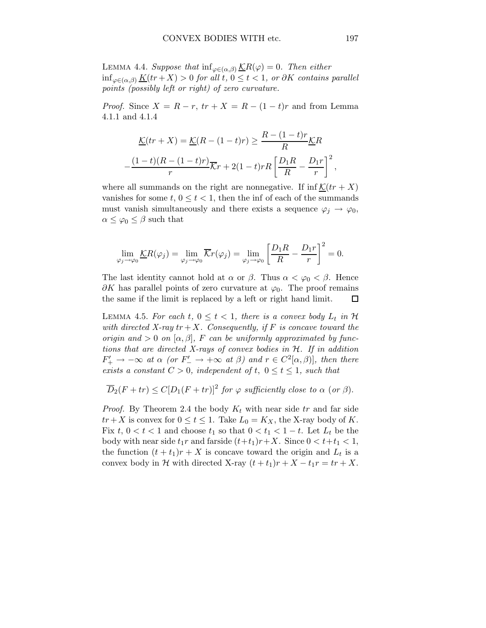LEMMA 4.4. Suppose that  $\inf_{\varphi \in (\alpha, \beta)} \underline{\mathcal{K}}R(\varphi) = 0$ . Then either  $\inf_{\varphi \in (\alpha, \beta)} \underline{K}(tr + X) > 0$  for all t,  $0 \le t < 1$ , or  $\partial K$  contains parallel points (possibly left or right) of zero curvature.

*Proof.* Since  $X = R - r$ ,  $tr + X = R - (1 - t)r$  and from Lemma 4.1.1 and 4.1.4

$$
\underline{\mathcal{K}}(tr+X) = \underline{\mathcal{K}}(R - (1-t)r) \ge \frac{R - (1-t)r}{R} \underline{\mathcal{K}}R
$$

$$
-\frac{(1-t)(R - (1-t)r)}{r} \overline{\mathcal{K}}r + 2(1-t)rR \left[\frac{D_1R}{R} - \frac{D_1r}{r}\right]^2,
$$

where all summands on the right are nonnegative. If  $inf K(tr + X)$ vanishes for some  $t, 0 \le t < 1$ , then the inf of each of the summands must vanish simultaneously and there exists a sequence  $\varphi_j \to \varphi_0$ ,  $\alpha \leq \varphi_0 \leq \beta$  such that

$$
\lim_{\varphi_j \to \varphi_0} \underline{\mathcal{K}}R(\varphi_j) = \lim_{\varphi_j \to \varphi_0} \overline{\mathcal{K}}r(\varphi_j) = \lim_{\varphi_j \to \varphi_0} \left[ \frac{D_1R}{R} - \frac{D_1r}{r} \right]^2 = 0.
$$

The last identity cannot hold at  $\alpha$  or  $\beta$ . Thus  $\alpha < \varphi_0 < \beta$ . Hence  $\partial K$  has parallel points of zero curvature at  $\varphi_0$ . The proof remains the same if the limit is replaced by a left or right hand limit.  $\Box$ 

LEMMA 4.5. For each  $t, 0 \le t < 1$ , there is a convex body  $L_t$  in  $\mathcal H$ with directed X-ray  $tr+X$ . Consequently, if F is concave toward the origin and  $> 0$  on  $[\alpha, \beta]$ , F can be uniformly approximated by functions that are directed X-rays of convex bodies in  $H$ . If in addition  $F'_{+} \rightarrow -\infty$  at  $\alpha$  (or  $F'_{-} \rightarrow +\infty$  at  $\beta$ ) and  $r \in C^{2}[\alpha, \beta]$ , then there exists a constant  $C > 0$ , independent of t,  $0 \le t \le 1$ , such that

$$
\overline{D}_2(F+tr) \le C[D_1(F+tr)]^2
$$
 for  $\varphi$  sufficiently close to  $\alpha$  (or  $\beta$ ).

*Proof.* By Theorem 2.4 the body  $K_t$  with near side tr and far side  $tr+X$  is convex for  $0 \le t \le 1$ . Take  $L_0 = K_X$ , the X-ray body of K. Fix  $t, 0 < t < 1$  and choose  $t_1$  so that  $0 < t_1 < 1-t$ . Let  $L_t$  be the body with near side  $t_1r$  and farside  $(t+t_1)r+X$ . Since  $0 < t+t_1 < 1$ , the function  $(t + t_1)r + X$  is concave toward the origin and  $L_t$  is a convex body in H with directed X-ray  $(t + t_1)r + X - t_1r = tr + X$ .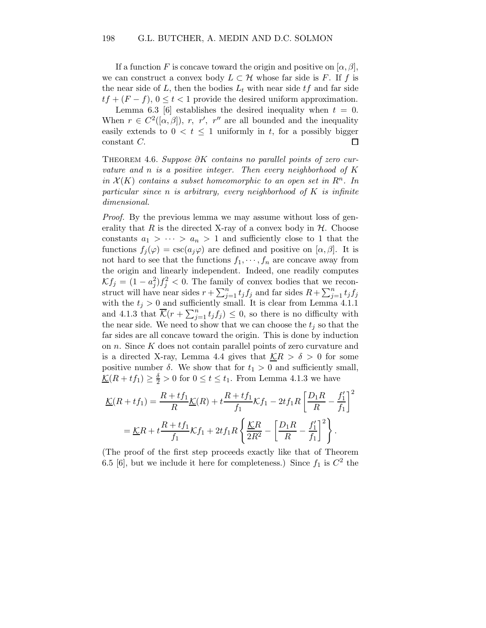If a function F is concave toward the origin and positive on  $[\alpha, \beta]$ , we can construct a convex body  $L \subset \mathcal{H}$  whose far side is F. If f is the near side of L, then the bodies  $L_t$  with near side  $tf$  and far side  $tf + (F - f), 0 \le t < 1$  provide the desired uniform approximation.

Lemma 6.3 [6] establishes the desired inequality when  $t = 0$ . When  $r \in C^2([\alpha, \beta]), r, r', r''$  are all bounded and the inequality easily extends to  $0 < t \leq 1$  uniformly in t, for a possibly bigger constant C.  $\Box$ 

THEOREM 4.6. Suppose  $\partial K$  contains no parallel points of zero curvature and  $n$  is a positive integer. Then every neighborhood of  $K$ in  $\mathcal{X}(K)$  contains a subset homeomorphic to an open set in  $\mathbb{R}^n$ . In particular since n is arbitrary, every neighborhood of  $K$  is infinite dimensional.

Proof. By the previous lemma we may assume without loss of generality that R is the directed X-ray of a convex body in  $H$ . Choose constants  $a_1 > \cdots > a_n > 1$  and sufficiently close to 1 that the functions  $f_i(\varphi) = \csc(a_i\varphi)$  are defined and positive on  $[\alpha, \beta]$ . It is not hard to see that the functions  $f_1, \dots, f_n$  are concave away from the origin and linearly independent. Indeed, one readily computes  $\mathcal{K}f_j = (1 - a_j^2)f_j^2 < 0.$  The family of convex bodies that we reconstruct will have near sides  $r + \sum_{j=1}^{n} t_j f_j$  and far sides  $R + \sum_{j=1}^{n} t_j f_j$ with the  $t_j > 0$  and sufficiently small. It is clear from Lemma 4.1.1 and 4.1.3 that  $\overline{\mathcal{K}}(r + \sum_{j=1}^n t_j f_j) \leq 0$ , so there is no difficulty with the near side. We need to show that we can choose the  $t_i$  so that the far sides are all concave toward the origin. This is done by induction on n. Since K does not contain parallel points of zero curvature and is a directed X-ray, Lemma 4.4 gives that  $\mathcal{K}R > \delta > 0$  for some positive number  $\delta$ . We show that for  $t_1 > 0$  and sufficiently small,  $\underline{\mathcal{K}}(R + tf_1) \ge \frac{\delta}{2} > 0$  for  $0 \le t \le t_1$ . From Lemma 4.1.3 we have

$$
\underline{\mathcal{K}}(R + tf_1) = \frac{R + tf_1}{R} \underline{\mathcal{K}}(R) + t \frac{R + tf_1}{f_1} \mathcal{K}f_1 - 2tf_1R \left[ \frac{D_1R}{R} - \frac{f'_1}{f_1} \right]^2
$$

$$
= \underline{\mathcal{K}}R + t \frac{R + tf_1}{f_1} \mathcal{K}f_1 + 2tf_1R \left\{ \frac{\underline{\mathcal{K}}R}{2R^2} - \left[ \frac{D_1R}{R} - \frac{f'_1}{f_1} \right]^2 \right\}.
$$

(The proof of the first step proceeds exactly like that of Theorem 6.5 [6], but we include it here for completeness.) Since  $f_1$  is  $C^2$  the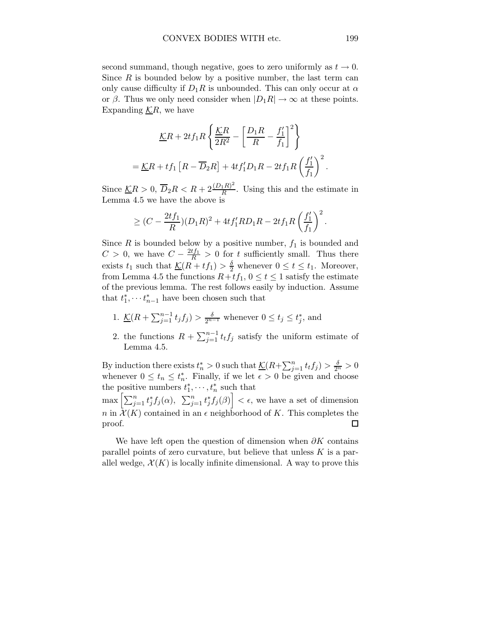second summand, though negative, goes to zero uniformly as  $t \to 0$ . Since  $R$  is bounded below by a positive number, the last term can only cause difficulty if  $D_1R$  is unbounded. This can only occur at  $\alpha$ or  $\beta$ . Thus we only need consider when  $|D_1R| \to \infty$  at these points. Expanding  $\mathcal{K}R$ , we have

$$
\underline{K}R + 2tf_1R\left\{\frac{\underline{K}R}{2R^2} - \left[\frac{D_1R}{R} - \frac{f'_1}{f_1}\right]^2\right\}
$$

$$
= \underline{K}R + tf_1\left[R - \overline{D}_2R\right] + 4tf'_1D_1R - 2tf_1R\left(\frac{f'_1}{f_1}\right)^2.
$$

Since  $\underline{\mathcal{K}}R > 0$ ,  $\overline{D}_2R < R + 2\frac{(D_1R)^2}{R}$  $\frac{d^{1}R^{1}}{R}$ . Using this and the estimate in Lemma 4.5 we have the above is

$$
\geq (C - \frac{2tf_1}{R})(D_1R)^2 + 4tf'_1RD_1R - 2tf_1R\left(\frac{f'_1}{f_1}\right)^2.
$$

Since  $R$  is bounded below by a positive number,  $f_1$  is bounded and  $C > 0$ , we have  $C - \frac{2tf_1}{R} > 0$  for t sufficiently small. Thus there exists  $t_1$  such that  $\underline{\mathcal{K}}(R + tf_1) > \frac{\delta}{2}$  whenever  $0 \le t \le t_1$ . Moreover, from Lemma 4.5 the functions  $R+tf_1$ ,  $0 \le t \le 1$  satisfy the estimate of the previous lemma. The rest follows easily by induction. Assume that  $t_1^*, \cdots t_{n-1}^*$  have been chosen such that

- 1.  $\underline{\mathcal{K}}(R + \sum_{j=1}^{n-1} t_j f_j) > \frac{\delta}{2^{n-1}}$  whenever  $0 \le t_j \le t_j^*$ , and
- 2. the functions  $R + \sum_{j=1}^{n-1} t_i f_j$  satisfy the uniform estimate of Lemma 4.5.

By induction there exists  $t_n^* > 0$  such that  $\underline{\mathcal{K}}(R + \sum_{j=1}^n t_i f_j) > \frac{\delta}{2^n} > 0$ whenever  $0 \leq t_n \leq t_n^*$ . Finally, if we let  $\epsilon > 0$  be given and choose the positive numbers  $t_1^*, \dots, t_n^*$  such that

 $\max \left[ \sum_{j=1}^n t_j^* f_j(\alpha), \sum_{j=1}^n t_j^* f_j(\beta) \right] < \epsilon$ , we have a set of dimension n in  $\mathcal{X}(K)$  contained in an  $\epsilon$  neighborhood of K. This completes the proof.  $\Box$ 

We have left open the question of dimension when  $\partial K$  contains parallel points of zero curvature, but believe that unless  $K$  is a parallel wedge,  $\mathcal{X}(K)$  is locally infinite dimensional. A way to prove this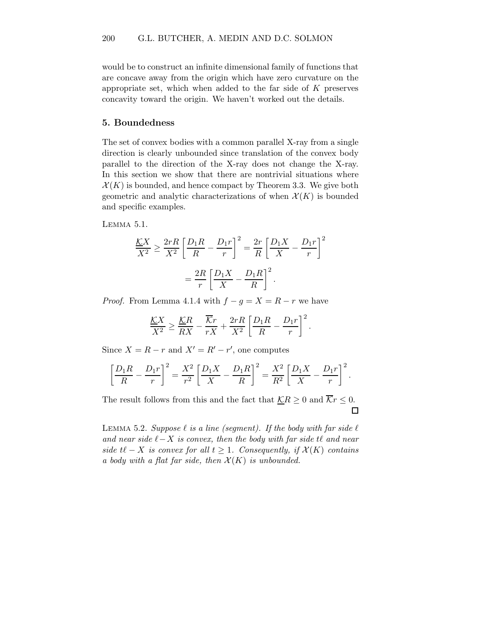would be to construct an infinite dimensional family of functions that are concave away from the origin which have zero curvature on the appropriate set, which when added to the far side of  $K$  preserves concavity toward the origin. We haven't worked out the details.

#### 5. Boundedness

The set of convex bodies with a common parallel X-ray from a single direction is clearly unbounded since translation of the convex body parallel to the direction of the X-ray does not change the X-ray. In this section we show that there are nontrivial situations where  $\mathcal{X}(K)$  is bounded, and hence compact by Theorem 3.3. We give both geometric and analytic characterizations of when  $\mathcal{X}(K)$  is bounded and specific examples.

Lemma 5.1.

$$
\frac{KX}{X^2} \ge \frac{2rR}{X^2} \left[ \frac{D_1R}{R} - \frac{D_1r}{r} \right]^2 = \frac{2r}{R} \left[ \frac{D_1X}{X} - \frac{D_1r}{r} \right]^2
$$

$$
= \frac{2R}{r} \left[ \frac{D_1X}{X} - \frac{D_1R}{R} \right]^2.
$$

*Proof.* From Lemma 4.1.4 with  $f - g = X = R - r$  we have

$$
\frac{\underline{K}X}{X^2} \ge \frac{\underline{K}R}{RX} - \frac{\overline{K}r}{rX} + \frac{2rR}{X^2} \left[ \frac{D_1R}{R} - \frac{D_1r}{r} \right]^2.
$$

Since  $X = R - r$  and  $X' = R' - r'$ , one computes

$$
\left[\frac{D_1R}{R} - \frac{D_1r}{r}\right]^2 = \frac{X^2}{r^2} \left[\frac{D_1X}{X} - \frac{D_1R}{R}\right]^2 = \frac{X^2}{R^2} \left[\frac{D_1X}{X} - \frac{D_1r}{r}\right]^2.
$$

The result follows from this and the fact that  $\mathcal{K}R \geq 0$  and  $\overline{\mathcal{K}}r \leq 0$ .  $\Box$ 

LEMMA 5.2. Suppose  $\ell$  is a line (seqment). If the body with far side  $\ell$ and near side  $\ell - X$  is convex, then the body with far side t $\ell$  and near side  $t\ell - X$  is convex for all  $t \geq 1$ . Consequently, if  $\mathcal{X}(K)$  contains a body with a flat far side, then  $\mathcal{X}(K)$  is unbounded.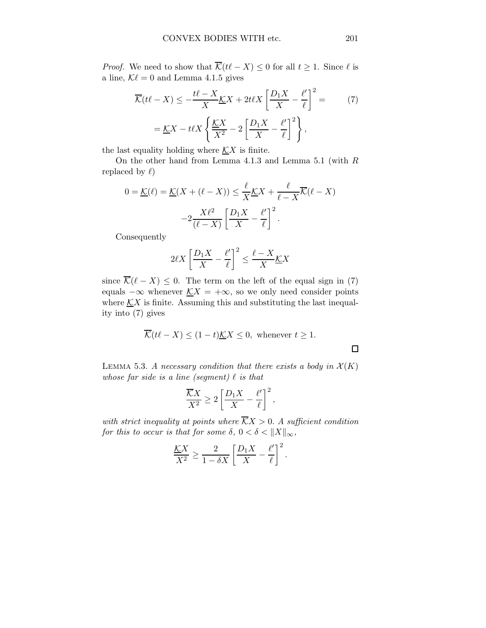*Proof.* We need to show that  $\overline{\mathcal{K}}(t\ell - X) \leq 0$  for all  $t \geq 1$ . Since  $\ell$  is a line,  $K\ell = 0$  and Lemma 4.1.5 gives

$$
\overline{\mathcal{K}}(t\ell - X) \le -\frac{t\ell - X}{X}\underline{\mathcal{K}}X + 2t\ell X \left[\frac{D_1 X}{X} - \frac{\ell'}{\ell}\right]^2 = \qquad (7)
$$

$$
= \underline{\mathcal{K}}X - t\ell X \left\{\frac{\underline{\mathcal{K}}X}{X^2} - 2\left[\frac{D_1 X}{X} - \frac{\ell'}{\ell}\right]^2\right\},
$$

the last equality holding where  $\mathcal{K}X$  is finite.

On the other hand from Lemma 4.1.3 and Lemma 5.1 (with R replaced by  $\ell$ )

$$
0 = \underline{\mathcal{K}}(\ell) = \underline{\mathcal{K}}(X + (\ell - X)) \le \frac{\ell}{X} \underline{\mathcal{K}}X + \frac{\ell}{\ell - X} \overline{\mathcal{K}}(\ell - X)
$$

$$
-2\frac{X\ell^2}{(\ell - X)} \left[ \frac{D_1X}{X} - \frac{\ell'}{\ell} \right]^2.
$$

Consequently

$$
2\ell X \left[ \frac{D_1 X}{X} - \frac{\ell'}{\ell} \right]^2 \le \frac{\ell - X}{X} \underline{\mathcal{K}} X
$$

since  $\overline{\mathcal{K}}(\ell - X) \leq 0$ . The term on the left of the equal sign in (7) equals  $-\infty$  whenever  $KX = +\infty$ , so we only need consider points where  $\mathcal{K}X$  is finite. Assuming this and substituting the last inequality into (7) gives

$$
\overline{\mathcal{K}}(t\ell - X) \le (1 - t)\underline{\mathcal{K}}X \le 0, \text{ whenever } t \ge 1.
$$

LEMMA 5.3. A necessary condition that there exists a body in  $\mathcal{X}(K)$ whose far side is a line (segment)  $\ell$  is that

$$
\frac{\overline{K}X}{X^2} \ge 2\left[\frac{D_1X}{X} - \frac{\ell'}{\ell}\right]^2,
$$

with strict inequality at points where  $\overline{K}X > 0$ . A sufficient condition for this to occur is that for some  $\delta$ ,  $0 < \delta < ||X||_{\infty}$ ,

$$
\frac{KX}{X^2} \ge \frac{2}{1-\delta X} \left[ \frac{D_1 X}{X} - \frac{\ell'}{\ell} \right]^2.
$$

 $\square$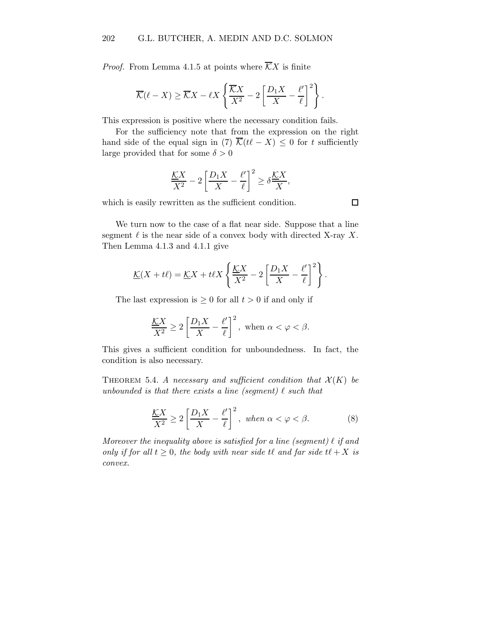*Proof.* From Lemma 4.1.5 at points where  $\overline{K}X$  is finite

$$
\overline{\mathcal{K}}(\ell - X) \ge \overline{\mathcal{K}}X - \ell X \left\{ \frac{\overline{\mathcal{K}}X}{X^2} - 2 \left[ \frac{D_1 X}{X} - \frac{\ell'}{\ell} \right]^2 \right\}.
$$

This expression is positive where the necessary condition fails.

For the sufficiency note that from the expression on the right hand side of the equal sign in (7)  $\overline{\mathcal{K}}(t\ell - X) \leq 0$  for t sufficiently large provided that for some  $\delta > 0$ 

$$
\frac{\underline{K}X}{X^2} - 2\left[\frac{D_1X}{X} - \frac{\ell'}{\ell}\right]^2 \ge \delta\frac{\underline{K}X}{X},
$$

which is easily rewritten as the sufficient condition.

We turn now to the case of a flat near side. Suppose that a line segment  $\ell$  is the near side of a convex body with directed X-ray X. Then Lemma 4.1.3 and 4.1.1 give

$$
\underline{\mathcal{K}}(X+t\ell) = \underline{\mathcal{K}}X + t\ell X \left\{ \frac{\underline{\mathcal{K}}X}{X^2} - 2\left[\frac{D_1X}{X} - \frac{\ell'}{\ell}\right]^2 \right\}.
$$

The last expression is  $\geq 0$  for all  $t > 0$  if and only if

$$
\frac{\underline{K}X}{X^2} \ge 2\left[\frac{D_1X}{X} - \frac{\ell'}{\ell}\right]^2, \text{ when } \alpha < \varphi < \beta.
$$

This gives a sufficient condition for unboundedness. In fact, the condition is also necessary.

THEOREM 5.4. A necessary and sufficient condition that  $\mathcal{X}(K)$  be unbounded is that there exists a line (segment)  $\ell$  such that

$$
\frac{\underline{K}X}{X^2} \ge 2\left[\frac{D_1X}{X} - \frac{\ell'}{\ell}\right]^2, \text{ when } \alpha < \varphi < \beta. \tag{8}
$$

Moreover the inequality above is satisfied for a line (seqment)  $\ell$  if and only if for all  $t \geq 0$ , the body with near side  $t\ell$  and far side  $t\ell + X$  is convex.

 $\Box$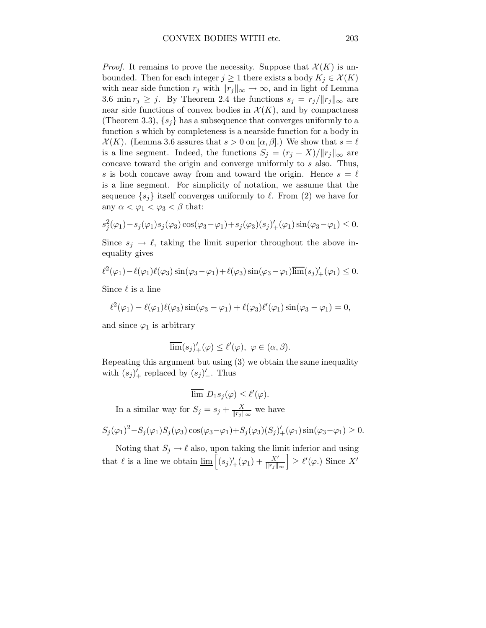*Proof.* It remains to prove the necessity. Suppose that  $\mathcal{X}(K)$  is unbounded. Then for each integer  $j \geq 1$  there exists a body  $K_j \in \mathcal{X}(K)$ with near side function  $r_j$  with  $||r_j||_{\infty} \rightarrow \infty$ , and in light of Lemma 3.6 min  $r_j \geq j$ . By Theorem 2.4 the functions  $s_j = r_j/||r_j||_{\infty}$  are near side functions of convex bodies in  $\mathcal{X}(K)$ , and by compactness (Theorem 3.3),  $\{s_i\}$  has a subsequence that converges uniformly to a function s which by completeness is a nearside function for a body in  $\mathcal{X}(K)$ . (Lemma 3.6 assures that  $s > 0$  on  $[\alpha, \beta]$ .) We show that  $s = \ell$ is a line segment. Indeed, the functions  $S_j = (r_j + X)/||r_j||_{\infty}$  are concave toward the origin and converge uniformly to s also. Thus, s is both concave away from and toward the origin. Hence  $s = \ell$ is a line segment. For simplicity of notation, we assume that the sequence  $\{s_j\}$  itself converges uniformly to  $\ell$ . From (2) we have for any  $\alpha < \varphi_1 < \varphi_3 < \beta$  that:

$$
s_j^2(\varphi_1) - s_j(\varphi_1)s_j(\varphi_3)\cos(\varphi_3 - \varphi_1) + s_j(\varphi_3)(s_j)'_+(\varphi_1)\sin(\varphi_3 - \varphi_1) \leq 0.
$$

Since  $s_j \to \ell$ , taking the limit superior throughout the above inequality gives

$$
\ell^2(\varphi_1) - \ell(\varphi_1)\ell(\varphi_3)\sin(\varphi_3 - \varphi_1) + \ell(\varphi_3)\sin(\varphi_3 - \varphi_1)\overline{\lim}(s_j)'_+(\varphi_1) \leq 0.
$$

Since  $\ell$  is a line

$$
\ell^2(\varphi_1) - \ell(\varphi_1)\ell(\varphi_3)\sin(\varphi_3 - \varphi_1) + \ell(\varphi_3)\ell'(\varphi_1)\sin(\varphi_3 - \varphi_1) = 0,
$$

and since  $\varphi_1$  is arbitrary

$$
\overline{\lim}(s_j)'_+(\varphi) \le \ell'(\varphi), \ \varphi \in (\alpha, \beta).
$$

Repeating this argument but using (3) we obtain the same inequality with  $(s_j)'_+$  replaced by  $(s_j)'_-$ . Thus

$$
\overline{\lim} D_1 s_j(\varphi) \le \ell'(\varphi).
$$

In a similar way for  $S_j = s_j + \frac{X}{\|r_i\|}$  $\frac{X}{\|r_j\|_{\infty}}$  we have

$$
S_j(\varphi_1)^2 - S_j(\varphi_1)S_j(\varphi_3)\cos(\varphi_3 - \varphi_1) + S_j(\varphi_3)(S_j)'_+(\varphi_1)\sin(\varphi_3 - \varphi_1) \ge 0.
$$

Noting that  $S_j \to \ell$  also, upon taking the limit inferior and using that  $\ell$  is a line we obtain  $\underline{\lim}_{\epsilon} \left[ (s_j)'_+(\varphi_1) + \frac{X'}{\|r_j\|_{\infty}} \right] \ge \ell'(\varphi)$ . Since X'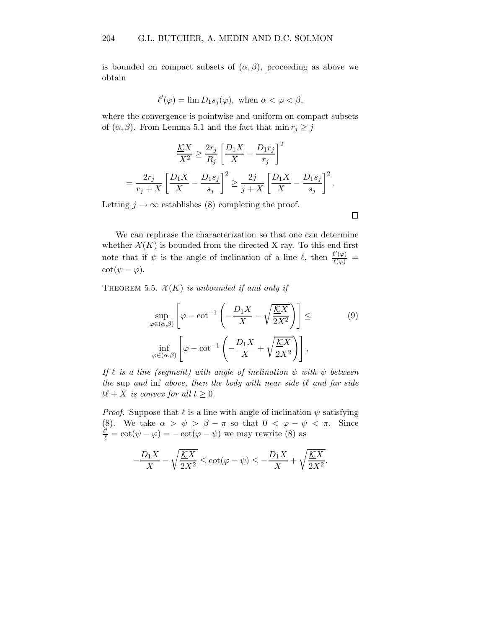is bounded on compact subsets of  $(\alpha, \beta)$ , proceeding as above we obtain

$$
\ell'(\varphi) = \lim D_1 s_j(\varphi), \text{ when } \alpha < \varphi < \beta,
$$

where the convergence is pointwise and uniform on compact subsets of  $(\alpha, \beta)$ . From Lemma 5.1 and the fact that min  $r_j \geq j$ 

$$
\frac{\underline{K}X}{X^2} \ge \frac{2r_j}{R_j} \left[ \frac{D_1X}{X} - \frac{D_1r_j}{r_j} \right]^2
$$
  
= 
$$
\frac{2r_j}{r_j + X} \left[ \frac{D_1X}{X} - \frac{D_1s_j}{s_j} \right]^2 \ge \frac{2j}{j + X} \left[ \frac{D_1X}{X} - \frac{D_1s_j}{s_j} \right]^2.
$$

Letting  $j \to \infty$  establishes (8) completing the proof.

We can rephrase the characterization so that one can determine whether  $\mathcal{X}(K)$  is bounded from the directed X-ray. To this end first note that if  $\psi$  is the angle of inclination of a line  $\ell$ , then  $\frac{\ell'(\varphi)}{\ell(\varphi)}$  =  $\cot(\psi - \varphi)$ .

THEOREM 5.5.  $\mathcal{X}(K)$  is unbounded if and only if

$$
\sup_{\varphi \in (\alpha,\beta)} \left[ \varphi - \cot^{-1} \left( -\frac{D_1 X}{X} - \sqrt{\frac{\mathcal{K} X}{2X^2}} \right) \right] \le \qquad (9)
$$
  

$$
\inf_{\varphi \in (\alpha,\beta)} \left[ \varphi - \cot^{-1} \left( -\frac{D_1 X}{X} + \sqrt{\frac{\mathcal{K} X}{2X^2}} \right) \right],
$$

If  $\ell$  is a line (segment) with angle of inclination  $\psi$  with  $\psi$  between the sup and inf above, then the body with near side  $t\ell$  and far side  $t\ell + X$  is convex for all  $t \geq 0$ .

*Proof.* Suppose that  $\ell$  is a line with angle of inclination  $\psi$  satisfying (8). We take  $\alpha > \psi > \beta - \pi$  so that  $0 < \varphi - \psi < \pi$ . Since  $\frac{\partial \ell}{\partial \ell} = \cot(\psi - \varphi) = -\cot(\varphi - \psi)$  we may rewrite (8) as

$$
-\frac{D_1X}{X} - \sqrt{\frac{\mathcal{K}X}{2X^2}} \le \cot(\varphi - \psi) \le -\frac{D_1X}{X} + \sqrt{\frac{\mathcal{K}X}{2X^2}}.
$$

 $\Box$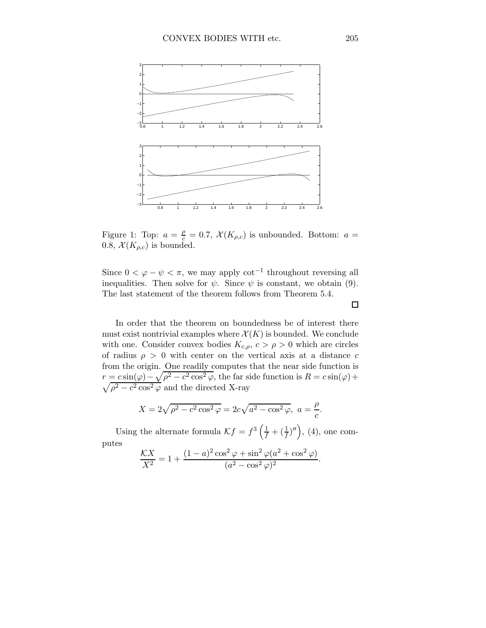

Figure 1: Top:  $a = \frac{\rho}{c} = 0.7$ ,  $\mathcal{X}(K_{\rho,c})$  is unbounded. Bottom:  $a =$ 0.8,  $\mathcal{X}(K_{\rho,c})$  is bounded.

Since  $0 < \varphi - \psi < \pi$ , we may apply cot<sup>-1</sup> throughout reversing all inequalities. Then solve for  $\psi$ . Since  $\psi$  is constant, we obtain (9). The last statement of the theorem follows from Theorem 5.4.

In order that the theorem on boundedness be of interest there must exist nontrivial examples where  $\mathcal{X}(K)$  is bounded. We conclude with one. Consider convex bodies  $K_{c,\rho}$ ,  $c > \rho > 0$  which are circles of radius  $\rho > 0$  with center on the vertical axis at a distance c from the origin. One readily computes that the near side function is  $r = c \sin(\varphi) - \sqrt{\rho^2 - c^2 \cos \varphi}$  $\sqrt{}$ <sup>2</sup> $\varphi$ , the far side function is  $R = c \sin(\varphi) +$  $\rho^2 - c^2 \cos^2 \varphi$  and the directed X-ray

$$
X = 2\sqrt{\rho^2 - c^2 \cos^2 \varphi} = 2c\sqrt{a^2 - \cos^2 \varphi}, \ a = \frac{\rho}{c}.
$$

Using the alternate formula  $\mathcal{K}f = f^3\left(\frac{1}{f} + \left(\frac{1}{f}\right)''\right)$ , (4), one computes

$$
\frac{\mathcal{K}X}{X^2} = 1 + \frac{(1-a)^2 \cos^2 \varphi + \sin^2 \varphi (a^2 + \cos^2 \varphi)}{(a^2 - \cos^2 \varphi)^2}.
$$

 $\Box$